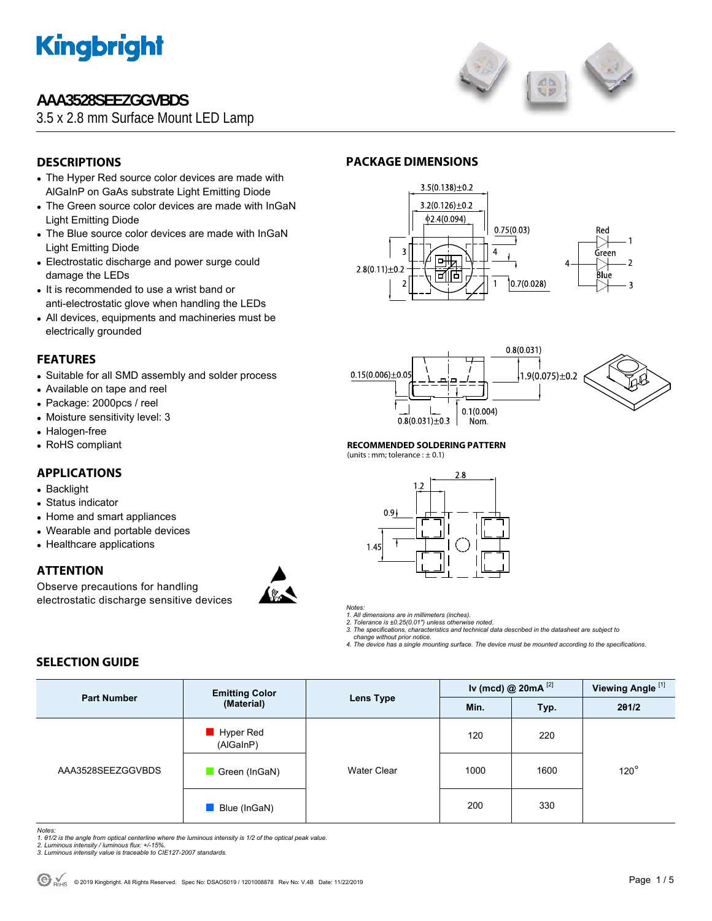

# **AAA3528SEEZGGVBDS**





# **DESCRIPTIONS**

- The Hyper Red source color devices are made with AlGaInP on GaAs substrate Light Emitting Diode
- The Green source color devices are made with InGaN Light Emitting Diode
- The Blue source color devices are made with InGaN Light Emitting Diode
- Electrostatic discharge and power surge could damage the LEDs
- It is recommended to use a wrist band or anti-electrostatic glove when handling the LEDs
- All devices, equipments and machineries must be electrically grounded

### **FEATURES**

- Suitable for all SMD assembly and solder process
- Available on tape and reel
- Package: 2000pcs / reel
- Moisture sensitivity level: 3
- Halogen-free
- RoHS compliant

# **APPLICATIONS**

- Backlight
- Status indicator
- Home and smart appliances
- Wearable and portable devices
- Healthcare applications

## **ATTENTION**

Observe precautions for handling electrostatic discharge sensitive devices



# **PACKAGE DIMENSIONS**





### **RECOMMENDED SOLDERING PATTERN**

(units : mm; tolerance :  $\pm$  0.1)





*1. All dimensions are in millimeters (inches). 2. Tolerance is ±0.25(0.01") unless otherwise noted.* 

*3. The specifications, characteristics and technical data described in the datasheet are subject to change without prior notice.* 

*4. The device has a single mounting surface. The device must be mounted according to the specifications.* 

# **SELECTION GUIDE**

| <b>Part Number</b> | <b>Emitting Color</b><br>(Material)   | <b>Lens Type</b>   | Iv (mcd) @ $20mA$ <sup>[2]</sup> |      | Viewing Angle <sup>[1]</sup> |
|--------------------|---------------------------------------|--------------------|----------------------------------|------|------------------------------|
|                    |                                       |                    | Min.                             | Typ. | 201/2                        |
| AAA3528SEEZGGVBDS  | $\blacksquare$ Hyper Red<br>(AlGaInP) | <b>Water Clear</b> | 120                              | 220  | $120^\circ$                  |
|                    | Green (InGaN)                         |                    | 1000                             | 1600 |                              |
|                    | Blue (InGaN)                          |                    | 200                              | 330  |                              |

*Notes:* 

*1. θ1/2 is the angle from optical centerline where the luminous intensity is 1/2 of the optical peak value. 2. Luminous intensity / luminous flux: +/-15%.* 

*3. Luminous intensity value is traceable to CIE127-2007 standards.*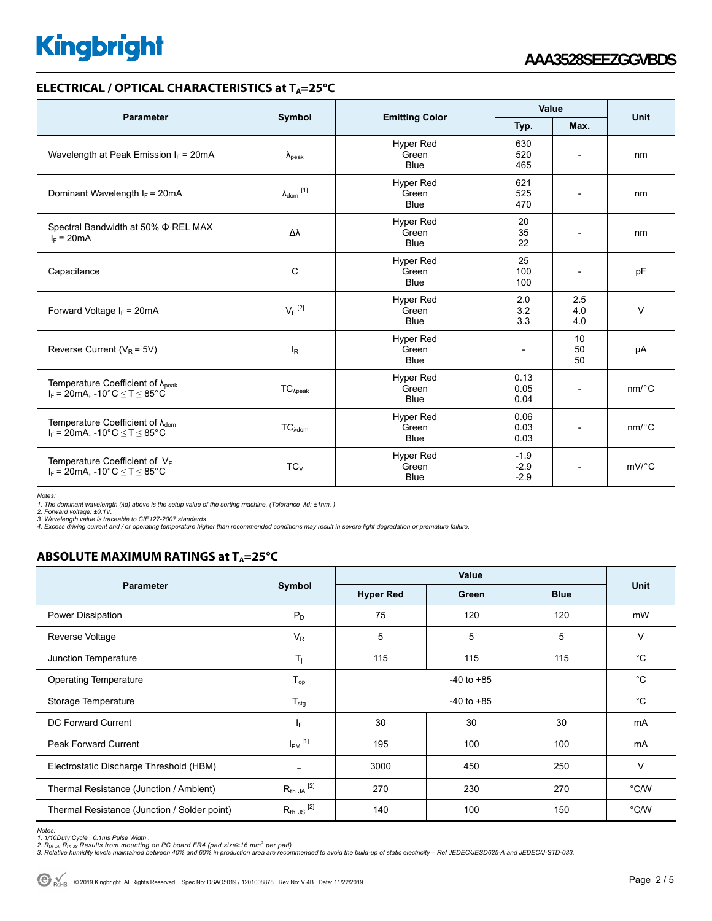## **ELECTRICAL / OPTICAL CHARACTERISTICS at T<sub>A</sub>=25°C**

| <b>Parameter</b>                                                                            |                      |                                          | Value                      |                          |                       |  |
|---------------------------------------------------------------------------------------------|----------------------|------------------------------------------|----------------------------|--------------------------|-----------------------|--|
|                                                                                             | Symbol               | <b>Emitting Color</b>                    | Typ.                       | Max.                     | Unit                  |  |
| Wavelength at Peak Emission $I_F$ = 20mA                                                    | $\lambda_{\rm peak}$ | <b>Hyper Red</b><br>Green<br><b>Blue</b> | 630<br>520<br>465          |                          | nm                    |  |
| Dominant Wavelength $I_F = 20 \text{mA}$                                                    | $\lambda_{dom}$ [1]  | <b>Hyper Red</b><br>Green<br><b>Blue</b> | 621<br>525<br>470          | $\overline{\phantom{a}}$ | nm                    |  |
| Spectral Bandwidth at 50% $\Phi$ REL MAX<br>$I_F = 20mA$                                    | Δλ                   | Hyper Red<br>Green<br><b>Blue</b>        | 20<br>35<br>22             |                          | nm                    |  |
| <b>Hyper Red</b><br>C<br>Capacitance<br>Green<br><b>Blue</b>                                |                      |                                          | 25<br>100<br>100           | $\overline{\phantom{a}}$ | pF                    |  |
| Forward Voltage $I_F = 20mA$                                                                | $V_F$ <sup>[2]</sup> | Hyper Red<br>Green<br><b>Blue</b>        | 2.0<br>3.2<br>3.3          | 2.5<br>4.0<br>4.0        | $\vee$                |  |
| Reverse Current ( $V_R$ = 5V)                                                               | $I_R$                | <b>Hyper Red</b><br>Green<br><b>Blue</b> |                            | 10<br>50<br>50           | μA                    |  |
| Temperature Coefficient of $\lambda_{peak}$<br>$I_F$ = 20mA. -10°C < T < 85°C               | $TC_{\lambda peak}$  | <b>Hyper Red</b><br>Green<br><b>Blue</b> | 0.13<br>0.05<br>0.04       |                          | $nm$ <sup>o</sup> $C$ |  |
| Temperature Coefficient of $\lambda_{\text{dom}}$<br>$I_F = 20mA$ , -10°C $\le T \le 85$ °C | $TC_{\lambda dom}$   | <b>Hyper Red</b><br>Green<br><b>Blue</b> | 0.06<br>0.03<br>0.03       | $\overline{\phantom{a}}$ | $nm$ <sup>o</sup> $C$ |  |
| Temperature Coefficient of $V_F$<br>$I_F = 20mA$ , -10°C $\le T \le 85$ °C                  | $TC_{V}$             | <b>Hyper Red</b><br>Green<br><b>Blue</b> | $-1.9$<br>$-2.9$<br>$-2.9$ |                          | $mV$ <sup>o</sup> $C$ |  |

*Notes:* 

*1. The dominant wavelength (λd) above is the setup value of the sorting machine. (Tolerance λd: ±1nm. )* 

*2. Forward voltage: ±0.1V. 3. Wavelength value is traceable to CIE127-2007 standards.* 

*4. Excess driving current and / or operating temperature higher than recommended conditions may result in severe light degradation or premature failure.* 

# **ABSOLUTE MAXIMUM RATINGS at T<sub>A</sub>=25°C**

|                                              | Symbol                  | Value            |       |             |             |
|----------------------------------------------|-------------------------|------------------|-------|-------------|-------------|
| <b>Parameter</b>                             |                         | <b>Hyper Red</b> | Green | <b>Blue</b> | <b>Unit</b> |
| Power Dissipation                            | $P_D$                   | 75               | 120   | 120         | mW          |
| Reverse Voltage                              | $V_R$                   | 5                | 5     | 5           | $\vee$      |
| Junction Temperature                         | $T_{j}$                 | 115              | 115   | 115         | $^{\circ}C$ |
| <b>Operating Temperature</b>                 | $T_{op}$                | $-40$ to $+85$   |       |             | $^{\circ}C$ |
| Storage Temperature                          | $T_{\text{stg}}$        | $-40$ to $+85$   |       |             | $^{\circ}C$ |
| DC Forward Current                           | lF.                     | 30               | 30    | 30          | mA          |
| Peak Forward Current                         | $I_{FM}$ <sup>[1]</sup> | 195              | 100   | 100         | mA          |
| Electrostatic Discharge Threshold (HBM)      |                         | 3000             | 450   | 250         | V           |
| Thermal Resistance (Junction / Ambient)      | $R_{th}$ ja $^{[2]}$    | 270              | 230   | 270         | °C/W        |
| Thermal Resistance (Junction / Solder point) | $R_{th}$ JS $^{[2]}$    | 140              | 100   | 150         | °C/W        |

Notes:<br>1. 1/10Duty Cycle , 0.1ms Pulse Width .<br>2. R<sub>th JA</sub>, R<sub>th JS</sub> Results from mounting on PC board FR4 (pad size≥16 mm<sup>2</sup> per pad).<br>3. Relative humidity levels maintained between 40% and 60% in production area are rec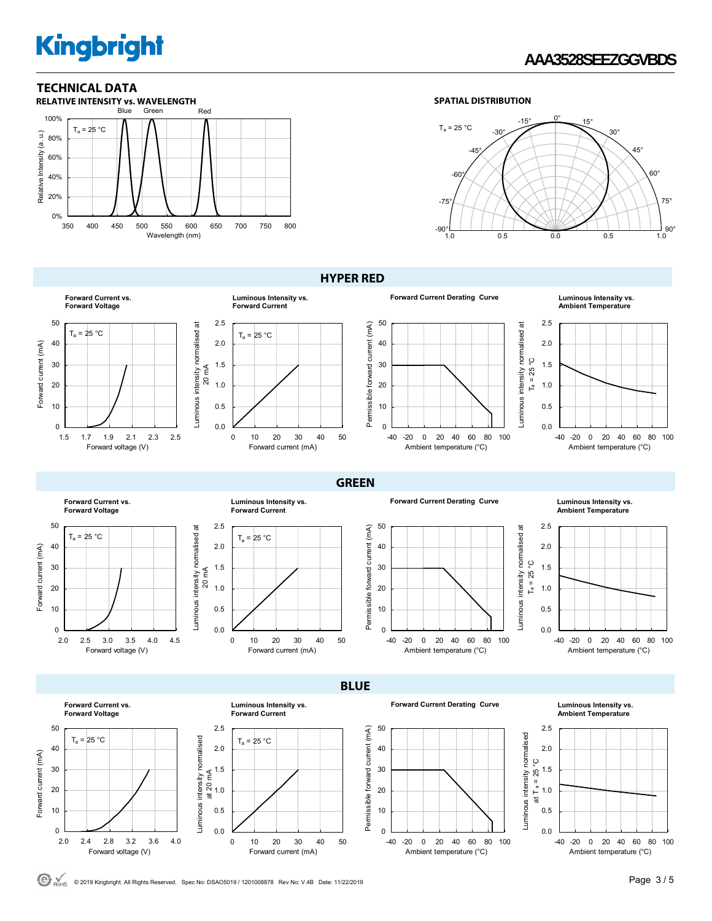# **AAA3528SEEZGGVBDS**





**HYPER RED** 



**Ambient Temperature**



**Forward Current vs. Forward Voltage** 50  $T_a = 25 °C$ Forward current (mA) 40 Forward current (mA) 30 20 10 0 2.0 2.5 3.0 3.5 4.0 4.5 Forward voltage (V)





**GREEN** 

**BLUE** 

**Forward Current Derating Curve Luminous Intensity vs.** 

Luminous intensity normalised at Luminous intensity normalised at -40 -20 0 20 40 60 80 100 Ambient temperature (°C)

**Ambient Temperature**



**Forward Current vs. Forward Voltage**



**Luminous Intensity vs.** 

Forward current (mA)

0 10 20 30 40 50

Forward current (mA)

**Forward Current Derating Curve Luminous Intensity vs.** 

**Ambient Temperature**

2.5



0.5 1.0 1.5 2.0



C ROME © 2019 Kingbright. All Rights Reserved. Spec No: DSAO5019 / 1201008878 Rev No: V.4B Date: 11/22/2019 **Page 3 / 5** 

Luminous intensity normalised at 20 mA

0.0 0.5 1.0 1.5 2.0 2.5

0.0 0.5 1.0 1.5 2.0 2.5

Luminous intensity normalised at 20 mA

Luminous intensity normalised at

 $T_a = 25 °C$ 

**Forward Current**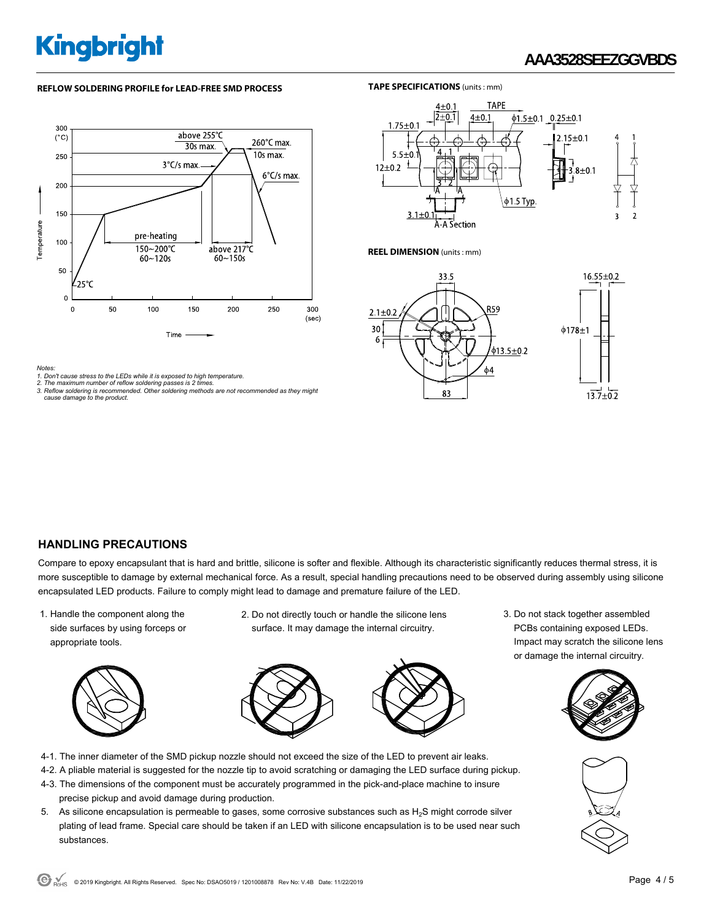# **AAA3528SEEZGGVBDS**

#### **REFLOW SOLDERING PROFILE for LEAD-FREE SMD PROCESS**





**REEL DIMENSION** (units : mm)

30

6



*Notes:* 

*1. Don't cause stress to the LEDs while it is exposed to high temperature. 2. The maximum number of reflow soldering passes is 2 times.* 

*3. Reflow soldering is recommended. Other soldering methods are not recommended as they might cause damage to the product.* 

## **HANDLING PRECAUTIONS**

Compare to epoxy encapsulant that is hard and brittle, silicone is softer and flexible. Although its characteristic significantly reduces thermal stress, it is more susceptible to damage by external mechanical force. As a result, special handling precautions need to be observed during assembly using silicone encapsulated LED products. Failure to comply might lead to damage and premature failure of the LED.

1. Handle the component along the side surfaces by using forceps or appropriate tools.



2. Do not directly touch or handle the silicone lens surface. It may damage the internal circuitry.



- 4-1. The inner diameter of the SMD pickup nozzle should not exceed the size of the LED to prevent air leaks.
- 4-2. A pliable material is suggested for the nozzle tip to avoid scratching or damaging the LED surface during pickup.
- 4-3. The dimensions of the component must be accurately programmed in the pick-and-place machine to insure precise pickup and avoid damage during production.
- 5. As silicone encapsulation is permeable to gases, some corrosive substances such as  $H_2S$  might corrode silver plating of lead frame. Special care should be taken if an LED with silicone encapsulation is to be used near such substances.

3. Do not stack together assembled PCBs containing exposed LEDs. Impact may scratch the silicone lens or damage the internal circuitry.